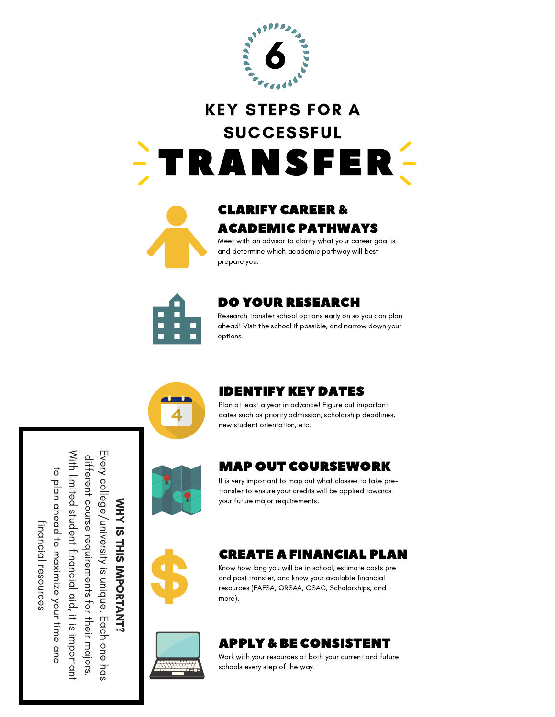

# TRANSFER KEY STEPS FOR A SUCCESSFUL



### CLARIFY CAREER & ACADEMIC PATHWAYS

Meet with an advisor to clarify what your career goal is and determine which academic pathway will best prepare you.



#### DO YOUR RESEARCH

Research transfer school options early on so you can plan ahead! Visit the school if possible, and narrow down your options.



#### IDENTIFY KEY DATES

Plan at least a year in advance! Figure out important dates such as priority admission, scholarship deadlines, new student orientation, etc.



#### MAP OUT COURSEWORK

It is very important to map out what classes to take pretransfer to ensure your credits will be applied towards your future major requirements.



#### CREATE A FINANCIAL PLAN

Know how long you will be in school, estimate costs pre and post transfer, and know your available financial resources (FAFSA, ORSAA, OSAC, Scholarships, and more).



### APPLY & BE CONSISTENT

Work with your resources at both your current and future schools every step of the way.

≨<br>±  $\prec$ ភ T HIS IM P O 직 **ANT?** E v ery c olle g e / u niv ersity is u niq u e. Each o n e h as differe ュ c o urse re q air<br>E m e nts for キ e:<br>G  $\exists$ ajors. With limite d stu d e nt fin a n cial aid,  $\exists \ddot$ is im p orta ュ to pla n a h e a d  $\vec{\circ}$ m a ximiz e y o ur tim e a n d fin a n cial reso n<br>S ິ<br>ທ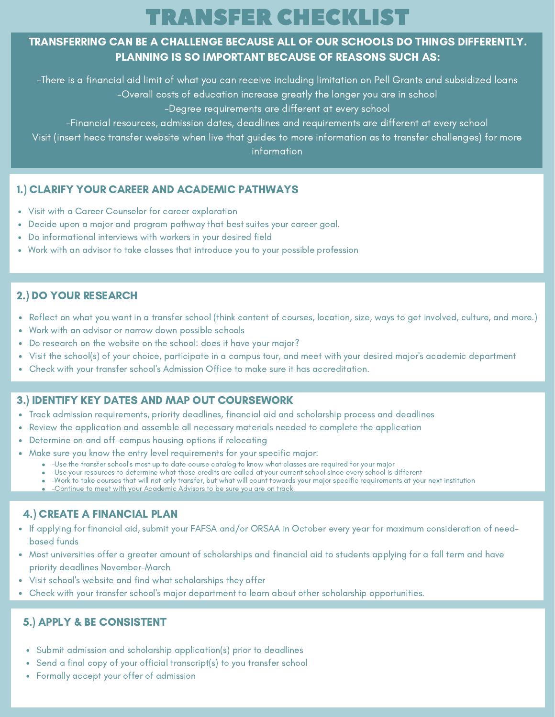# TRANSFER CHECKLIST

#### TRANSFERRING CAN BE A CHALLENGE BECAUSE ALL OF OUR SCHOOLS DO THINGS DIFFERENTLY. PLANNING IS SO IMPORTANT BECAUSE OF REASONS SUCH AS:

-There is a financial aid limit of what you can receive including limitation on Pell Grants and subsidized loans

-Overall costs of education increase greatly the longer you are in school

-Degree requirements are different at every school

-Financial resources, admission dates, deadlines and requirements are different at every school

Visit (insert hecc transfer website when live that guides to more information as to transfer challenges) for more information

#### 1.) CLARIFY YOUR CAREER AND ACADEMIC PATHWAYS

- Visit with a Career Counselor for career exploration
- Decide upon a major and program pathway that best suites your career goal.
- Do informational interviews with workers in your desired field
- Work with an advisor to take classes that introduce you to your possible profession

#### 2.) DO YOUR RESEARCH

- Reflect on what you want in a transfer school (think content of courses, location, size, ways to get involved, culture, and more.)
- Work with an advisor or narrow down possible schools
- Do research on the website on the school: does it have your major?
- Visit the school(s) of your choice, participate in a campus tour, and meet with your desired major's academic department
- Check with your transfer school's Admission Office to make sure it has accreditation.

#### 3.) IDENTIFY KEY DATES AND MAP OUT COURSEWORK

- Track admission requirements, priority deadlines, financial aid and scholarship process and deadlines
- Review the application and assemble all necessary materials needed to complete the application
- Determine on and off-campus housing options if relocating
- Make sure you know the entry level requirements for your specific major:
	- -Use the transfer school's most up to date course catalog to know what classes are required for your major
	- -Use your resources to determine what those credits are called at your current school since every school is different
	- -Work to take courses that will not only transfer, but what will count towards your major specific requirements at your next institution

**.** -Continue to meet with your Academic Advisors to be sure you are on track

#### 4.) CREATE A FINANCIAL PLAN

- If applying for financial aid, submit your FAFSA and/or ORSAA in October every year for maximum consideration of needbased funds
- Most universities offer a greater amount of scholarships and financial aid to students applying for a fall term and have priority deadlines November-March
- Visit school's website and find what scholarships they offer
- Check with your transfer school's major department to learn about other scholarship opportunities.

#### 5.) APPLY & BE CONSISTENT

- Submit admission and scholarship application(s) prior to deadlines
- Send a final copy of your official transcript(s) to you transfer school  $\bullet$
- Formally accept your offer of admission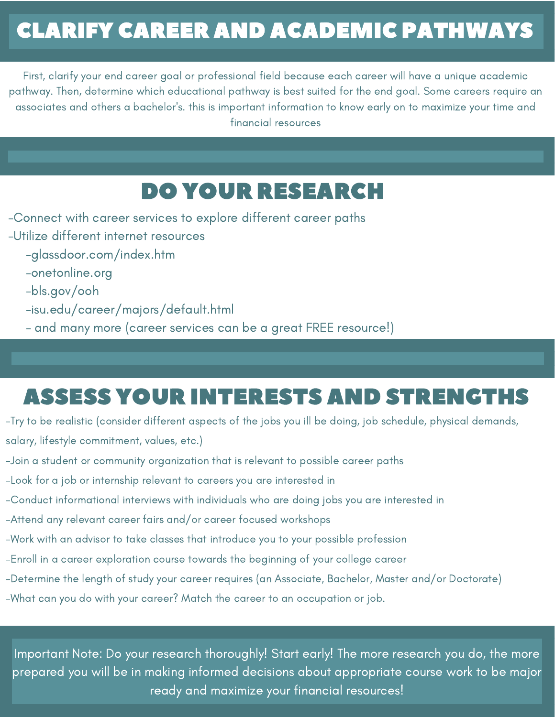# CLARIFY CAREER AND ACADEMIC PATHWAYS

First, clarify your end career goal or professional field because each career will have a unique academic pathway. Then, determine which educational pathway is best suited for the end goal. Some careers require an associates and others a bachelor's. this is important information to know early on to maximize your time and financial resources

## DO YOUR RESEARCH

- -Connect with career services to explore different career paths
- -Utilize different internet resources
	- -glassdoor.com/index.htm
	- -onetonline.org
	- -bls.gov/ooh
	- -isu.edu/career/majors/default.html
	- and many more (career services can be a great FREE resource!)

# ASSESS YOUR INTERESTS AND STRENGTHS

-Try to be realistic (consider different aspects of the jobs you ill be doing, job schedule, physical demands, salary, lifestyle commitment, values, etc.)

- -Join a student or community organization that is relevant to possible career paths
- -Look for a job or internship relevant to careers you are interested in
- -Conduct informational interviews with individuals who are doing jobs you are interested in
- -Attend any relevant career fairs and/or career focused workshops
- -Work with an advisor to take classes that introduce you to your possible profession
- -Enroll in a career exploration course towards the beginning of your college career
- -Determine the length of study your career requires (an Associate, Bachelor, Master and/or Doctorate)
- -What can you do with your career? Match the career to an occupation or job.

Important Note: Do your research thoroughly! Start early! The more research you do, the more prepared you will be in making informed decisions about appropriate course work to be major ready and maximize your financial resources!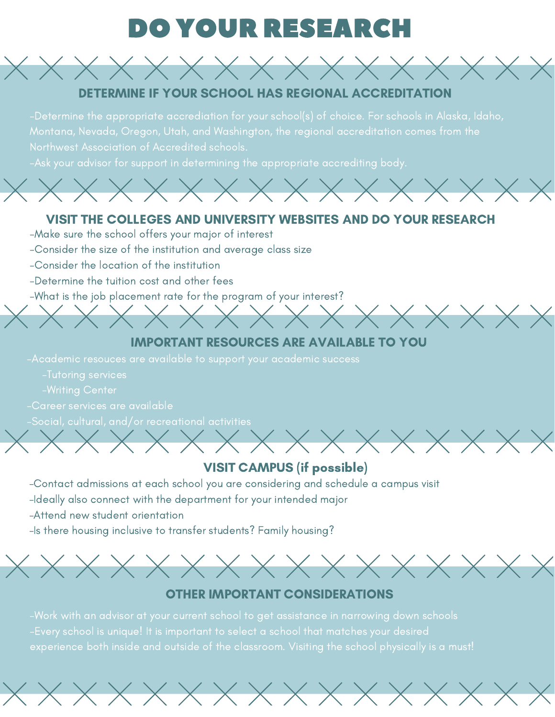# DO YOUR RESEARCH



Northwest Association of Accredited schools.



#### VISIT THE COLLEGES AND UNIVERSITY WEBSITES AND DO YOUR RESEARCH

- -Make sure the school offers your major of interest
- -Consider the size of the institution and average class size
- -Consider the location of the institution
- -Determine the tuition cost and other fees
- -What is the job placement rate for the program of your interest?

#### IMPORTANT RESOURCES ARE AVAILABLE TO YOU

 $\chi$ 

- -Tutoring services
- 
- -Career services are available
- -Social, cultural, and/or recreational activities

### VISIT CAMPUS (if possible)

- -Contact admissions at each school you are considering and schedule a campus visit
- -Ideally also connect with the department for your intended major
- -Attend new student orientation
- -Is there housing inclusive to transfer students? Family housing?



#### OTHER IMPORTANT CONSIDERATIONS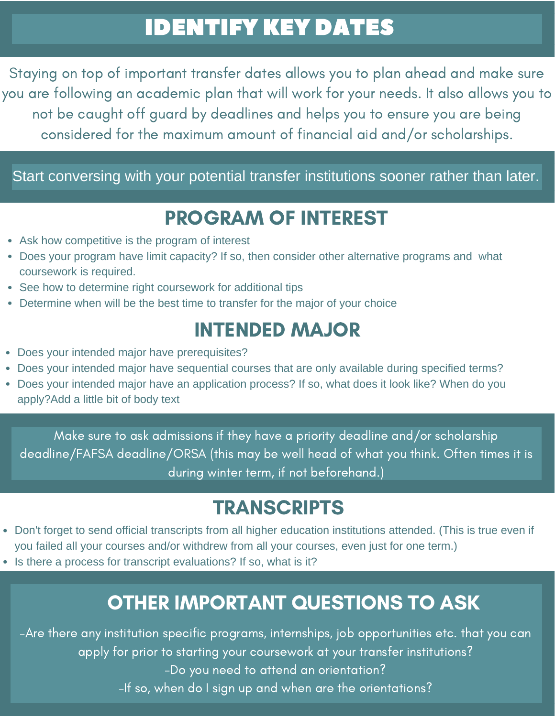# IDENTIFY KEY DATES

Staying on top of important transfer dates allows you to plan ahead and make sure you are following an academic plan that will work for your needs. It also allows you to not be caught off guard by deadlines and helps you to ensure you are being considered for the maximum amount of financial aid and/or scholarships.

### Start conversing with your potential transfer institutions sooner rather than later.

## PROGRAM OF INTEREST

- Ask how competitive is the program of interest
- Does your program have limit capacity? If so, then consider other alternative programs and what coursework is required.
- See how to determine right coursework for additional tips
- Determine when will be the best time to transfer for the major of your choice

### INTENDED MAJOR

- Does your intended major have prerequisites?
- Does your intended major have sequential courses that are only available during specified terms?
- Does your intended major have an application process? If so, what does it look like? When do you apply?Add a little bit of body text

Make sure to ask admissions if they have a priority deadline and/or scholarship deadline/FAFSA deadline/ORSA (this may be well head of what you think. Often times it is during winter term, if not beforehand.)

### **TRANSCRIPTS**

- Don't forget to send official transcripts from all higher education institutions attended. (This is true even if you failed all your courses and/or withdrew from all your courses, even just for one term.)
- Is there a process for transcript evaluations? If so, what is it?

### OTHER IMPORTANT QUESTIONS TO ASK

-Are there any institution specific programs, internships, job opportunities etc. that you can apply for prior to starting your coursework at your transfer institutions? -Do you need to attend an orientation? -If so, when do I sign up and when are the orientations?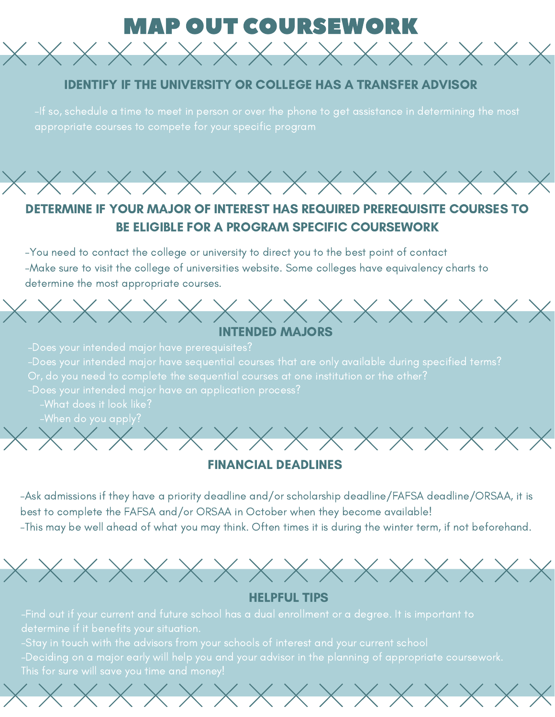### **IAP OUT COURSEWORK**

 $\times$  X X X X X X X X X X X X X X X X

#### IDENTIFY IF THE UNIVERSITY OR COLLEGE HAS A TRANSFER ADVISOR



### DETERMINE IF YOUR MAJOR OF INTEREST HAS REQUIRED PREREQUISITE COURSES TO BE ELIGIBLE FOR A PROGRAM SPECIFIC COURSEWORK

-You need to contact the college or university to direct you to the best point of contact -Make sure to visit the college of universities website. Some colleges have equivalency charts to determine the most appropriate courses.



-What does it look like?



#### FINANCIAL DEADLINES

-Ask admissions if they have a priority deadline and/or scholarship deadline/FAFSA deadline/ORSAA, it is best to complete the FAFSA and/or ORSAA in October when they become available! -This may be well ahead of what you may think. Often times it is during the winter term, if not beforehand.



#### HELPFUL TIPS

 $\times$   $\times$   $\times$   $\times$   $\times$   $\times$   $\times$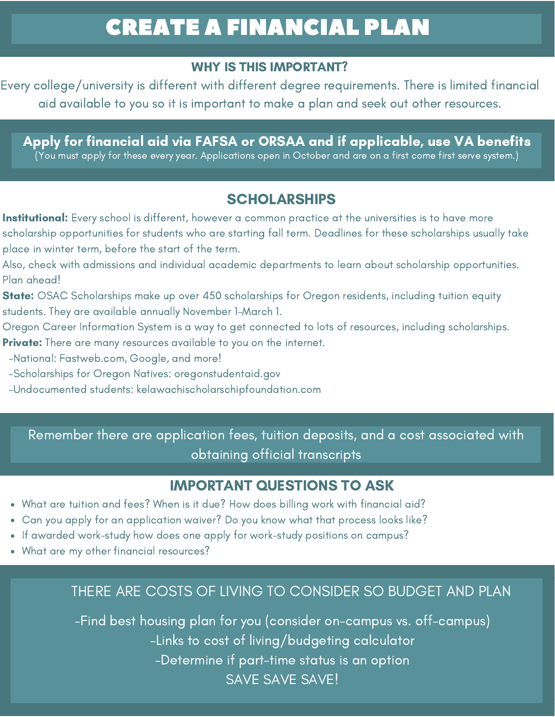# CREATE A FINANCIAL PLAN

### WHY IS THIS IMPORTANT?

Every college/university is different with different degree requirements. There is limited financial aid available to you so it is important to make a plan and seek out other resources.

Apply for financial aid via FAFSA or ORSAA and if applicable, use VA benefits

.<br>(You must apply for these every year. Applications open in October and are on a first come first serve system.)

### **SCHOLARSHIPS**

- Institutional: Every school is different, however a common practice at the universities is to have more scholarship opportunities for students who are starting fall term. Deadlines for these scholarships usually take place in winter term, before the start of the term.
- Also, check with admissions and individual academic departments to learn about scholarship opportunities. Plan ahead!
- **State:** OSAC Scholarships make up over 450 scholarships for Oregon residents, including tuition equity students. They are available annually November 1-March 1.
- Oregon Career Information System is a way to get connected to lots of resources, including scholarships.
- **Private:** There are many resources available to you on the internet.
- -National: Fastweb.com, Google, and more!
- -Scholarships for Oregon Natives: oregonstudentaid.gov
- -Undocumented students: kelawachischolarschipfoundation.com

Remember there are application fees, tuition deposits, and a cost associated with obtaining official transcripts

### IMPORTANT QUESTIONS TO ASK

- What are tuition and fees? When is it due? How does billing work with financial aid?
- Can you apply for an application waiver? Do you know what that process looks like?
- If awarded work-study how does one apply for work-study positions on campus?
- What are my other financial resources?

### THERE ARE COSTS OF LIVING TO CONSIDER SO BUDGET AND PLAN

-Find best housing plan for you (consider on-campus vs. off-campus) -Links to cost of living/budgeting calculator -Determine if part-time status is an option SAVE SAVE SAVE!